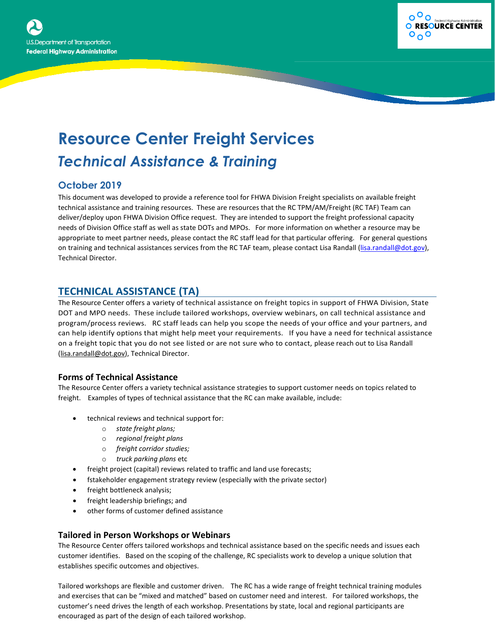



# **Resource Center Freight Services** *Technical Assistance & Training*

## **October 2019**

This document was developed to provide a reference tool for FHWA Division Freight specialists on available freight technical assistance and training resources. These are resources that the RC TPM/AM/Freight (RC TAF) Team can deliver/deploy upon FHWA Division Office request. They are intended to support the freight professional capacity needs of Division Office staff as well as state DOTs and MPOs. For more information on whether a resource may be appropriate to meet partner needs, please contact the RC staff lead for that particular offering. For general questions on training and technical assistances services from the RC TAF team, please contact Lisa Randall [\(lisa.randall@dot.gov\)](mailto:lisa.randall@dot.gov), Technical Director.

## **TECHNICAL ASSISTANCE (TA)**

The Resource Center offers a variety of technical assistance on freight topics in support of FHWA Division, State DOT and MPO needs. These include tailored workshops, overview webinars, on call technical assistance and program/process reviews. RC staff leads can help you scope the needs of your office and your partners, and can help identify options that might help meet your requirements. If you have a need for technical assistance on a freight topic that you do not see listed or are not sure who to contact, please reach out to Lisa Randall [\(lisa.randall@dot.gov\)](mailto:lisa.randall@dot.gov), Technical Director.

### **Forms of Technical Assistance**

The Resource Center offers a variety technical assistance strategies to support customer needs on topics related to freight. Examples of types of technical assistance that the RC can make available, include:

- technical reviews and technical support for:
	- o *state freight plans;*
	- o *regional freight plans*
	- o *freight corridor studies;*
	- o *truck parking plans* etc
- freight project (capital) reviews related to traffic and land use forecasts;
- fstakeholder engagement strategy review (especially with the private sector)
- freight bottleneck analysis;
- freight leadership briefings; and
- other forms of customer defined assistance

### **Tailored in Person Workshops or Webinars**

The Resource Center offers tailored workshops and technical assistance based on the specific needs and issues each customer identifies. Based on the scoping of the challenge, RC specialists work to develop a unique solution that establishes specific outcomes and objectives.

Tailored workshops are flexible and customer driven. The RC has a wide range of freight technical training modules and exercises that can be "mixed and matched" based on customer need and interest. For tailored workshops, the customer's need drives the length of each workshop. Presentations by state, local and regional participants are encouraged as part of the design of each tailored workshop.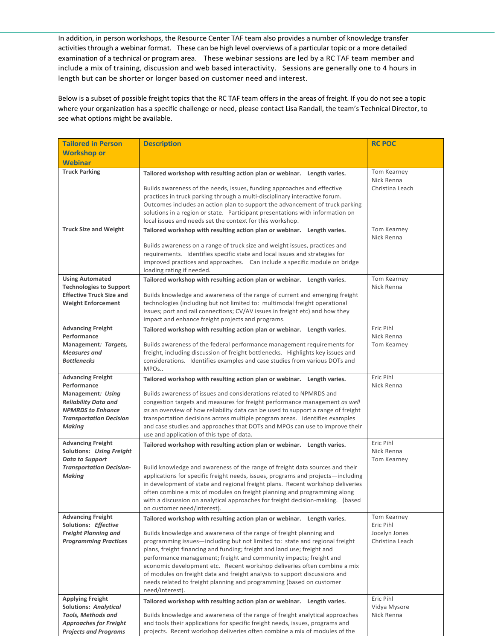In addition, in person workshops, the Resource Center TAF team also provides a number of knowledge transfer activities through a webinar format. These can be high level overviews of a particular topic or a more detailed examination of a technical or program area. These webinar sessions are led by a RC TAF team member and include a mix of training, discussion and web based interactivity. Sessions are generally one to 4 hours in length but can be shorter or longer based on customer need and interest.

Below is a subset of possible freight topics that the RC TAF team offers in the areas of freight. If you do not see a topic where your organization has a specific challenge or need, please contact Lisa Randall, the team's Technical Director, to see what options might be available.

| <b>Tailored in Person</b>                                    | <b>Description</b>                                                                                                                                                                                                                                                                             | <b>RC POC</b>              |
|--------------------------------------------------------------|------------------------------------------------------------------------------------------------------------------------------------------------------------------------------------------------------------------------------------------------------------------------------------------------|----------------------------|
| <b>Workshop or</b>                                           |                                                                                                                                                                                                                                                                                                |                            |
| <b>Webinar</b>                                               |                                                                                                                                                                                                                                                                                                |                            |
| <b>Truck Parking</b>                                         | Tailored workshop with resulting action plan or webinar. Length varies.                                                                                                                                                                                                                        | Tom Kearney<br>Nick Renna  |
|                                                              | Builds awareness of the needs, issues, funding approaches and effective<br>practices in truck parking through a multi-disciplinary interactive forum.<br>Outcomes includes an action plan to support the advancement of truck parking                                                          | Christina Leach            |
|                                                              | solutions in a region or state. Participant presentations with information on<br>local issues and needs set the context for this workshop.                                                                                                                                                     |                            |
| <b>Truck Size and Weight</b>                                 | Tailored workshop with resulting action plan or webinar. Length varies.                                                                                                                                                                                                                        | Tom Kearney<br>Nick Renna  |
|                                                              | Builds awareness on a range of truck size and weight issues, practices and<br>requirements. Identifies specific state and local issues and strategies for<br>improved practices and approaches. Can include a specific module on bridge<br>loading rating if needed.                           |                            |
| <b>Using Automated</b><br><b>Technologies to Support</b>     | Tailored workshop with resulting action plan or webinar. Length varies.                                                                                                                                                                                                                        | Tom Kearney<br>Nick Renna  |
| <b>Effective Truck Size and</b><br><b>Weight Enforcement</b> | Builds knowledge and awareness of the range of current and emerging freight<br>technologies (including but not limited to: multimodal freight operational<br>issues; port and rail connections; CV/AV issues in freight etc) and how they<br>impact and enhance freight projects and programs. |                            |
| <b>Advancing Freight</b><br>Performance                      | Tailored workshop with resulting action plan or webinar. Length varies.                                                                                                                                                                                                                        | Eric Pihl<br>Nick Renna    |
| Management: Targets,                                         | Builds awareness of the federal performance management requirements for                                                                                                                                                                                                                        | Tom Kearney                |
| <b>Measures</b> and<br><b>Bottlenecks</b>                    | freight, including discussion of freight bottlenecks. Highlights key issues and<br>considerations. Identifies examples and case studies from various DOTs and<br>MPOs                                                                                                                          |                            |
| <b>Advancing Freight</b><br>Performance                      | Tailored workshop with resulting action plan or webinar. Length varies.                                                                                                                                                                                                                        | Eric Pihl<br>Nick Renna    |
| Management: Using                                            | Builds awareness of issues and considerations related to NPMRDS and                                                                                                                                                                                                                            |                            |
| <b>Reliability Data and</b>                                  | congestion targets and measures for freight performance management as well                                                                                                                                                                                                                     |                            |
| <b>NPMRDS to Enhance</b><br><b>Transportation Decision</b>   | as an overview of how reliability data can be used to support a range of freight<br>transportation decisions across multiple program areas. Identifies examples                                                                                                                                |                            |
| <b>Making</b>                                                | and case studies and approaches that DOTs and MPOs can use to improve their<br>use and application of this type of data.                                                                                                                                                                       |                            |
| <b>Advancing Freight</b>                                     | Tailored workshop with resulting action plan or webinar. Length varies.                                                                                                                                                                                                                        | Eric Pihl                  |
| Solutions: Using Freight<br><b>Data to Support</b>           |                                                                                                                                                                                                                                                                                                | Nick Renna<br>Tom Kearney  |
| <b>Transportation Decision-</b>                              | Build knowledge and awareness of the range of freight data sources and their                                                                                                                                                                                                                   |                            |
| Making                                                       | applications for specific freight needs, issues, programs and projects-including<br>in development of state and regional freight plans. Recent workshop deliveries                                                                                                                             |                            |
|                                                              | often combine a mix of modules on freight planning and programming along                                                                                                                                                                                                                       |                            |
|                                                              | with a discussion on analytical approaches for freight decision-making. (based<br>on customer need/interest).                                                                                                                                                                                  |                            |
| <b>Advancing Freight</b>                                     | Tailored workshop with resulting action plan or webinar. Length varies.                                                                                                                                                                                                                        | Tom Kearney                |
| Solutions: Effective<br><b>Freight Planning and</b>          | Builds knowledge and awareness of the range of freight planning and                                                                                                                                                                                                                            | Eric Pihl<br>Jocelyn Jones |
| <b>Programming Practices</b>                                 | programming issues-including but not limited to: state and regional freight<br>plans, freight financing and funding; freight and land use; freight and                                                                                                                                         | Christina Leach            |
|                                                              | performance management; freight and community impacts; freight and                                                                                                                                                                                                                             |                            |
|                                                              | economic development etc. Recent workshop deliveries often combine a mix<br>of modules on freight data and freight analysis to support discussions and                                                                                                                                         |                            |
|                                                              | needs related to freight planning and programming (based on customer<br>need/interest).                                                                                                                                                                                                        |                            |
| <b>Applying Freight</b>                                      | Tailored workshop with resulting action plan or webinar. Length varies.                                                                                                                                                                                                                        | Eric Pihl                  |
| <b>Solutions: Analytical</b><br><b>Tools, Methods and</b>    | Builds knowledge and awareness of the range of freight analytical approaches                                                                                                                                                                                                                   | Vidya Mysore<br>Nick Renna |
| <b>Approaches for Freight</b>                                | and tools their applications for specific freight needs, issues, programs and                                                                                                                                                                                                                  |                            |
| <b>Projects and Programs</b>                                 | projects. Recent workshop deliveries often combine a mix of modules of the                                                                                                                                                                                                                     |                            |